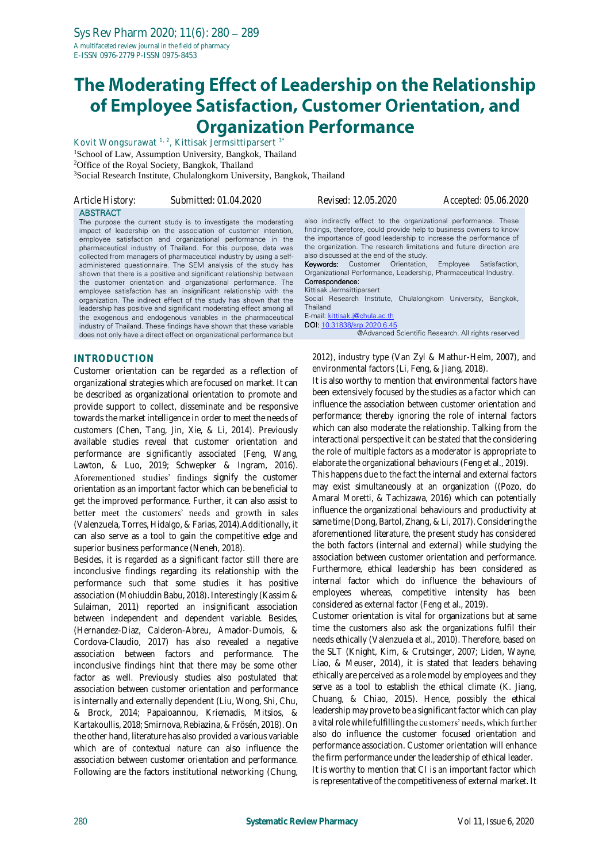# The Moderating Effect of Leadership on the Relationship of Employee Satisfaction, Customer Orientation, and **Organization Performance**

Kovit Wongsurawat 1, 2, Kittisak Jermsittiparsert 3\* <sup>1</sup>School of Law, Assumption University, Bangkok, Thailand <sup>2</sup>Office of the Royal Society, Bangkok, Thailand <sup>3</sup>Social Research Institute, Chulalongkorn University, Bangkok, Thailand

| Article History: | Submitted: 01.04.2020                                                                                                                                                                                                                                                                                                                                                                                                                                                                                                                                                                                                                                                                                                                                                                                                                                                                                                                                                            | Revised: 12.05.2020                                                                                                                                                                                                                                                                                                                                                                                                                                                                                                                                                                                                            | Accepted: 05.06.2020                                                                        |  |
|------------------|----------------------------------------------------------------------------------------------------------------------------------------------------------------------------------------------------------------------------------------------------------------------------------------------------------------------------------------------------------------------------------------------------------------------------------------------------------------------------------------------------------------------------------------------------------------------------------------------------------------------------------------------------------------------------------------------------------------------------------------------------------------------------------------------------------------------------------------------------------------------------------------------------------------------------------------------------------------------------------|--------------------------------------------------------------------------------------------------------------------------------------------------------------------------------------------------------------------------------------------------------------------------------------------------------------------------------------------------------------------------------------------------------------------------------------------------------------------------------------------------------------------------------------------------------------------------------------------------------------------------------|---------------------------------------------------------------------------------------------|--|
| <b>ABSTRACT</b>  | The purpose the current study is to investigate the moderating<br>impact of leadership on the association of customer intention,<br>employee satisfaction and organizational performance in the<br>pharmaceutical industry of Thailand. For this purpose, data was<br>collected from managers of pharmaceutical industry by using a self-<br>administered questionnaire. The SEM analysis of the study has<br>shown that there is a positive and significant relationship between<br>the customer orientation and organizational performance. The<br>employee satisfaction has an insignificant relationship with the<br>organization. The indirect effect of the study has shown that the<br>leadership has positive and significant moderating effect among all<br>the exogenous and endogenous variables in the pharmaceutical<br>industry of Thailand. These findings have shown that these variable<br>does not only have a direct effect on organizational performance but | also indirectly effect to the organizational performance. These<br>findings, therefore, could provide help to business owners to know<br>the importance of good leadership to increase the performance of<br>the organization. The research limitations and future direction are<br>also discussed at the end of the study.<br><b>Keywords:</b> Customer Orientation,<br>Organizational Performance, Leadership, Pharmaceutical Industry.<br>Correspondence:<br>Kittisak Jermsittiparsert<br>Social Research Institute, Chulalongkorn University,<br>Thailand<br>E-mail: kittisak.j@chula.ac.th<br>DOI: 10.31838/srp.2020.6.45 | Satisfaction.<br>Employee<br>Bangkok,<br>@Advanced Scientific Research. All rights reserved |  |
|                  |                                                                                                                                                                                                                                                                                                                                                                                                                                                                                                                                                                                                                                                                                                                                                                                                                                                                                                                                                                                  |                                                                                                                                                                                                                                                                                                                                                                                                                                                                                                                                                                                                                                |                                                                                             |  |

## **INTRODUCTION**

Customer orientation can be regarded as a reflection of organizational strategies which are focused on market. It can be described as organizational orientation to promote and provide support to collect, disseminate and be responsive towards the market intelligence in order to meet the needs of customers (Chen, Tang, Jin, Xie, & Li, 2014). Previously available studies reveal that customer orientation and performance are significantly associated (Feng, Wang, Lawton, & Luo, 2019; Schwepker & Ingram, 2016). Aforementioned studies' findings signify the customer orientation as an important factor which can be beneficial to get the improved performance. Further, it can also assist to better meet the customers' needs and growth in sales (Valenzuela, Torres, Hidalgo, & Farias, 2014).Additionally, it can also serve as a tool to gain the competitive edge and superior business performance (Neneh, 2018).

Besides, it is regarded as a significant factor still there are inconclusive findings regarding its relationship with the performance such that some studies it has positive association (Mohiuddin Babu, 2018). Interestingly (Kassim & Sulaiman, 2011) reported an insignificant association between independent and dependent variable. Besides, (Hernandez-Diaz, Calderon-Abreu, Amador-Dumois, & Cordova-Claudio, 2017) has also revealed a negative association between factors and performance. The inconclusive findings hint that there may be some other factor as well. Previously studies also postulated that association between customer orientation and performance is internally and externally dependent (Liu, Wong, Shi, Chu, & Brock, 2014; Papaioannou, Kriemadis, Mitsios, & Kartakoullis, 2018; Smirnova, Rebiazina, & Frösén, 2018). On the other hand, literature has also provided a various variable which are of contextual nature can also influence the association between customer orientation and performance. Following are the factors institutional networking (Chung,

2012), industry type (Van Zyl & Mathur-Helm, 2007), and environmental factors (Li, Feng, & Jiang, 2018).

It is also worthy to mention that environmental factors have been extensively focused by the studies as a factor which can influence the association between customer orientation and performance; thereby ignoring the role of internal factors which can also moderate the relationship. Talking from the interactional perspective it can be stated that the considering the role of multiple factors as a moderator is appropriate to elaborate the organizational behaviours (Feng et al., 2019).

This happens due to the fact the internal and external factors may exist simultaneously at an organization ((Pozo, do Amaral Moretti, & Tachizawa, 2016) which can potentially influence the organizational behaviours and productivity at same time (Dong, Bartol, Zhang, & Li, 2017). Considering the aforementioned literature, the present study has considered the both factors (internal and external) while studying the association between customer orientation and performance. Furthermore, ethical leadership has been considered as internal factor which do influence the behaviours of employees whereas, competitive intensity has been considered as external factor (Feng et al., 2019).

Customer orientation is vital for organizations but at same time the customers also ask the organizations fulfil their needs ethically (Valenzuela et al., 2010). Therefore, based on the SLT (Knight, Kim, & Crutsinger, 2007; Liden, Wayne, Liao, & Meuser, 2014), it is stated that leaders behaving ethically are perceived as a role model by employees and they serve as a tool to establish the ethical climate (K. Jiang, Chuang, & Chiao, 2015). Hence, possibly the ethical leadership may prove to be a significant factor which can play a vital role while fulfilling the customers' needs, which further also do influence the customer focused orientation and performance association. Customer orientation will enhance the firm performance under the leadership of ethical leader. It is worthy to mention that CI is an important factor which is representative of the competitiveness of external market. It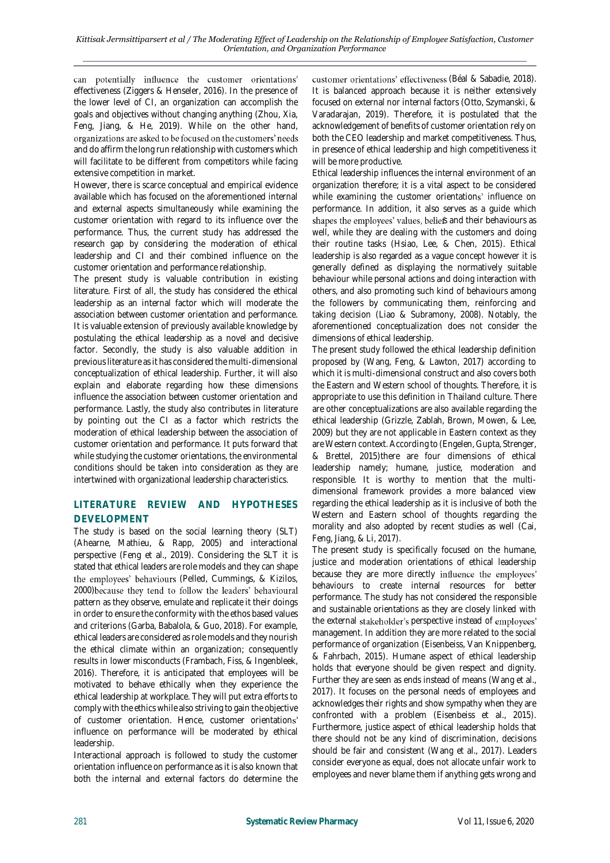can potentially influence the customer orientations' effectiveness (Ziggers & Henseler, 2016). In the presence of the lower level of CI, an organization can accomplish the goals and objectives without changing anything (Zhou, Xia, Feng, Jiang, & He, 2019). While on the other hand, organizations are asked to be focused on the customers' needs and do affirm the long run relationship with customers which will facilitate to be different from competitors while facing extensive competition in market.

However, there is scarce conceptual and empirical evidence available which has focused on the aforementioned internal and external aspects simultaneously while examining the customer orientation with regard to its influence over the performance. Thus, the current study has addressed the research gap by considering the moderation of ethical leadership and CI and their combined influence on the customer orientation and performance relationship.

The present study is valuable contribution in existing literature. First of all, the study has considered the ethical leadership as an internal factor which will moderate the association between customer orientation and performance. It is valuable extension of previously available knowledge by postulating the ethical leadership as a novel and decisive factor. Secondly, the study is also valuable addition in previous literature as it has considered the multi-dimensional conceptualization of ethical leadership. Further, it will also explain and elaborate regarding how these dimensions influence the association between customer orientation and performance. Lastly, the study also contributes in literature by pointing out the CI as a factor which restricts the moderation of ethical leadership between the association of customer orientation and performance. It puts forward that while studying the customer orientations, the environmental conditions should be taken into consideration as they are intertwined with organizational leadership characteristics.

# **LITERATURE REVIEW AND HYPOTHESES DEVELOPMENT**

The study is based on the social learning theory (SLT) (Ahearne, Mathieu, & Rapp, 2005) and interactional perspective (Feng et al., 2019). Considering the SLT it is stated that ethical leaders are role models and they can shape the employees' behaviours (Pelled, Cummings, & Kizilos, 2000) because they tend to follow the leaders' behavioural pattern as they observe, emulate and replicate it their doings in order to ensure the conformity with the ethos based values and criterions (Garba, Babalola, & Guo, 2018). For example, ethical leaders are considered as role models and they nourish the ethical climate within an organization; consequently results in lower misconducts (Frambach, Fiss, & Ingenbleek, 2016). Therefore, it is anticipated that employees will be motivated to behave ethically when they experience the ethical leadership at workplace. They will put extra efforts to comply with the ethics while also striving to gain the objective of customer orientation. Hence, customer orientations' influence on performance will be moderated by ethical leadership.

Interactional approach is followed to study the customer orientation influence on performance as it is also known that both the internal and external factors do determine the customer orientations' effectiveness (Béal & Sabadie, 2018). It is balanced approach because it is neither extensively focused on external nor internal factors (Otto, Szymanski, & Varadarajan, 2019). Therefore, it is postulated that the acknowledgement of benefits of customer orientation rely on both the CEO leadership and market competitiveness. Thus, in presence of ethical leadership and high competitiveness it will be more productive.

Ethical leadership influences the internal environment of an organization therefore; it is a vital aspect to be considered while examining the customer orientations' influence on performance. In addition, it also serves as a guide which shapes the employees' values, beliefs and their behaviours as well, while they are dealing with the customers and doing their routine tasks (Hsiao, Lee, & Chen, 2015). Ethical leadership is also regarded as a vague concept however it is generally defined as displaying the normatively suitable behaviour while personal actions and doing interaction with others, and also promoting such kind of behaviours among the followers by communicating them, reinforcing and taking decision (Liao & Subramony, 2008). Notably, the aforementioned conceptualization does not consider the dimensions of ethical leadership.

The present study followed the ethical leadership definition proposed by (Wang, Feng, & Lawton, 2017) according to which it is multi-dimensional construct and also covers both the Eastern and Western school of thoughts. Therefore, it is appropriate to use this definition in Thailand culture. There are other conceptualizations are also available regarding the ethical leadership (Grizzle, Zablah, Brown, Mowen, & Lee, 2009) but they are not applicable in Eastern context as they are Western context. According to (Engelen, Gupta, Strenger, & Brettel, 2015)there are four dimensions of ethical leadership namely; humane, justice, moderation and responsible. It is worthy to mention that the multidimensional framework provides a more balanced view regarding the ethical leadership as it is inclusive of both the Western and Eastern school of thoughts regarding the morality and also adopted by recent studies as well (Cai, Feng, Jiang, & Li, 2017).

The present study is specifically focused on the humane, justice and moderation orientations of ethical leadership because they are more directly influence the employees' behaviours to create internal resources for better performance. The study has not considered the responsible and sustainable orientations as they are closely linked with the external stakeholder's perspective instead of employees' management. In addition they are more related to the social performance of organization (Eisenbeiss, Van Knippenberg, & Fahrbach, 2015). Humane aspect of ethical leadership holds that everyone should be given respect and dignity. Further they are seen as ends instead of means (Wang et al., 2017). It focuses on the personal needs of employees and acknowledges their rights and show sympathy when they are confronted with a problem (Eisenbeiss et al., 2015). Furthermore, justice aspect of ethical leadership holds that there should not be any kind of discrimination, decisions should be fair and consistent (Wang et al., 2017). Leaders consider everyone as equal, does not allocate unfair work to employees and never blame them if anything gets wrong and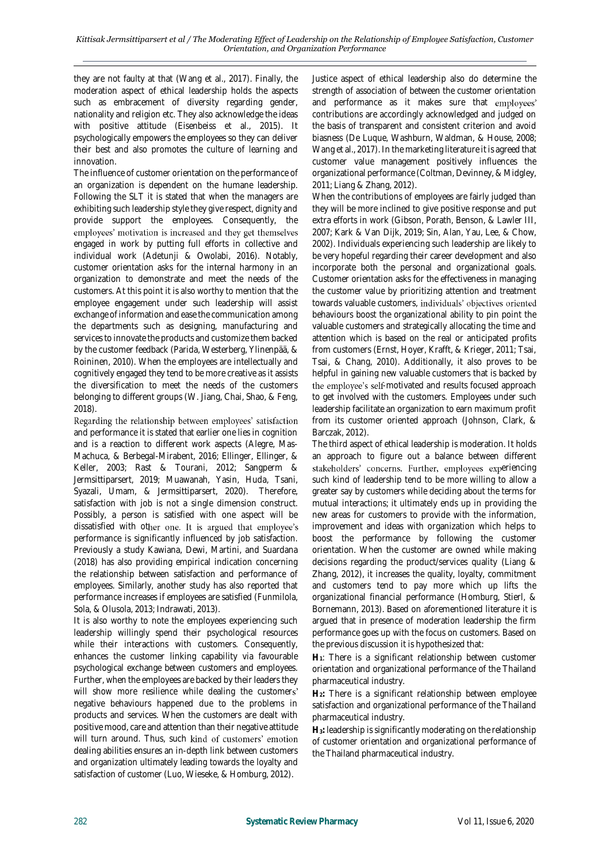they are not faulty at that (Wang et al., 2017). Finally, the moderation aspect of ethical leadership holds the aspects such as embracement of diversity regarding gender, nationality and religion etc. They also acknowledge the ideas with positive attitude (Eisenbeiss et al., 2015). It psychologically empowers the employees so they can deliver their best and also promotes the culture of learning and innovation.

The influence of customer orientation on the performance of an organization is dependent on the humane leadership. Following the SLT it is stated that when the managers are exhibiting such leadership style they give respect, dignity and provide support the employees. Consequently, the employees' motivation is increased and they get themselves engaged in work by putting full efforts in collective and individual work (Adetunji & Owolabi, 2016). Notably, customer orientation asks for the internal harmony in an organization to demonstrate and meet the needs of the customers. At this point it is also worthy to mention that the employee engagement under such leadership will assist exchange of information and ease the communication among the departments such as designing, manufacturing and services to innovate the products and customize them backed by the customer feedback (Parida, Westerberg, Ylinenpää, & Roininen, 2010). When the employees are intellectually and cognitively engaged they tend to be more creative as it assists the diversification to meet the needs of the customers belonging to different groups (W. Jiang, Chai, Shao, & Feng, 2018).<br>Regarding the relationship between employees' satisfaction

and performance it is stated that earlier one lies in cognition and is a reaction to different work aspects (Alegre, Mas-Machuca, & Berbegal-Mirabent, 2016; Ellinger, Ellinger, & Keller, 2003; Rast & Tourani, 2012; Sangperm & Jermsittiparsert, 2019; Muawanah, Yasin, Huda, Tsani, Syazali, Umam, & Jermsittiparsert, 2020). Therefore, satisfaction with job is not a single dimension construct. Possibly, a person is satisfied with one aspect will be dissatisfied with other one. It is argued that employee's performance is significantly influenced by job satisfaction. Previously a study Kawiana, Dewi, Martini, and Suardana (2018) has also providing empirical indication concerning the relationship between satisfaction and performance of employees. Similarly, another study has also reported that performance increases if employees are satisfied (Funmilola, Sola, & Olusola, 2013; Indrawati, 2013).

It is also worthy to note the employees experiencing such leadership willingly spend their psychological resources while their interactions with customers. Consequently, enhances the customer linking capability via favourable psychological exchange between customers and employees. Further, when the employees are backed by their leaders they will show more resilience while dealing the customers' negative behaviours happened due to the problems in products and services. When the customers are dealt with positive mood, care and attention than their negative attitude will turn around. Thus, such kind of customers' emotion dealing abilities ensures an in-depth link between customers and organization ultimately leading towards the loyalty and satisfaction of customer (Luo, Wieseke, & Homburg, 2012).

Justice aspect of ethical leadership also do determine the strength of association of between the customer orientation and performance as it makes sure that employees' contributions are accordingly acknowledged and judged on the basis of transparent and consistent criterion and avoid biasness (De Luque, Washburn, Waldman, & House, 2008; Wang et al., 2017). In the marketing literature it is agreed that customer value management positively influences the organizational performance (Coltman, Devinney, & Midgley, 2011; Liang & Zhang, 2012).

When the contributions of employees are fairly judged than they will be more inclined to give positive response and put extra efforts in work (Gibson, Porath, Benson, & Lawler III, 2007; Kark & Van Dijk, 2019; Sin, Alan, Yau, Lee, & Chow, 2002). Individuals experiencing such leadership are likely to be very hopeful regarding their career development and also incorporate both the personal and organizational goals. Customer orientation asks for the effectiveness in managing the customer value by prioritizing attention and treatment towards valuable customers, individuals' objectives oriented behaviours boost the organizational ability to pin point the valuable customers and strategically allocating the time and attention which is based on the real or anticipated profits from customers (Ernst, Hoyer, Krafft, & Krieger, 2011; Tsai, Tsai, & Chang, 2010). Additionally, it also proves to be helpful in gaining new valuable customers that is backed by the employee's self-motivated and results focused approach to get involved with the customers. Employees under such leadership facilitate an organization to earn maximum profit from its customer oriented approach (Johnson, Clark, & Barczak, 2012).

The third aspect of ethical leadership is moderation. It holds an approach to figure out a balance between different stakeholders' concerns. Further, employees experiencing such kind of leadership tend to be more willing to allow a greater say by customers while deciding about the terms for mutual interactions; it ultimately ends up in providing the new areas for customers to provide with the information, improvement and ideas with organization which helps to boost the performance by following the customer orientation. When the customer are owned while making decisions regarding the product/services quality (Liang & Zhang, 2012), it increases the quality, loyalty, commitment and customers tend to pay more which up lifts the organizational financial performance (Homburg, Stierl, & Bornemann, 2013). Based on aforementioned literature it is argued that in presence of moderation leadership the firm performance goes up with the focus on customers. Based on the previous discussion it is hypothesized that:

**H1**: There is a significant relationship between customer orientation and organizational performance of the Thailand pharmaceutical industry.

**H2:** There is a significant relationship between employee satisfaction and organizational performance of the Thailand pharmaceutical industry.

**H3:** leadership is significantly moderating on the relationship of customer orientation and organizational performance of the Thailand pharmaceutical industry.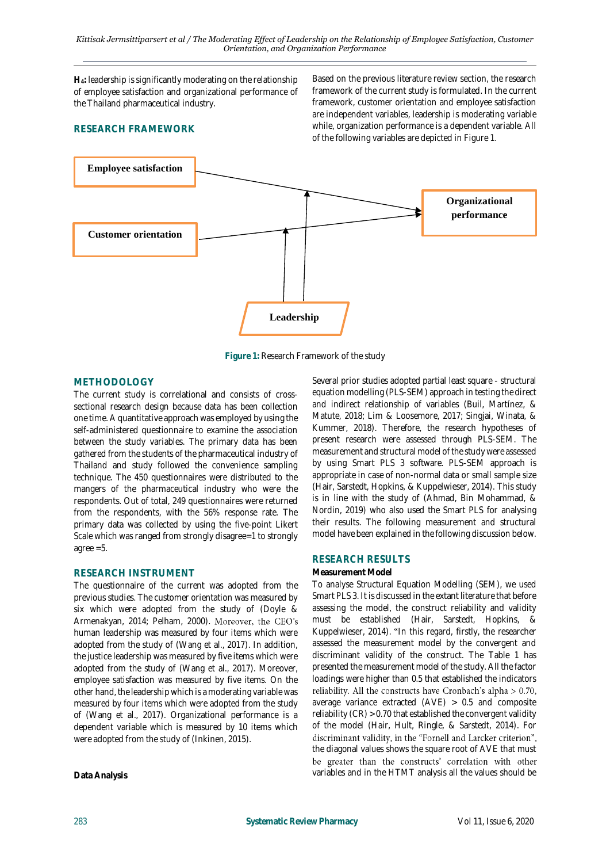**H4:** leadership is significantly moderating on the relationship of employee satisfaction and organizational performance of the Thailand pharmaceutical industry.

# **RESEARCH FRAMEWORK**

Based on the previous literature review section, the research framework of the current study is formulated. In the current framework, customer orientation and employee satisfaction are independent variables, leadership is moderating variable while, organization performance is a dependent variable. All of the following variables are depicted in Figure 1.



**Figure 1:** Research Framework of the study

#### **METHODOLOGY**

The current study is correlational and consists of crosssectional research design because data has been collection one time. A quantitative approach was employed by using the self-administered questionnaire to examine the association between the study variables. The primary data has been gathered from the students of the pharmaceutical industry of Thailand and study followed the convenience sampling technique. The 450 questionnaires were distributed to the mangers of the pharmaceutical industry who were the respondents. Out of total, 249 questionnaires were returned from the respondents, with the 56% response rate. The primary data was collected by using the five-point Likert Scale which was ranged from strongly disagree=1 to strongly agree =5.

#### **RESEARCH INSTRUMENT**

The questionnaire of the current was adopted from the previous studies. The customer orientation was measured by six which were adopted from the study of (Doyle & Armenakyan, 2014; Pelham, 2000). Moreover, the CEO's human leadership was measured by four items which were adopted from the study of (Wang et al., 2017). In addition, the justice leadership was measured by five items which were adopted from the study of (Wang et al., 2017). Moreover, employee satisfaction was measured by five items. On the other hand, the leadership which is a moderating variable was measured by four items which were adopted from the study of (Wang et al., 2017). Organizational performance is a dependent variable which is measured by 10 items which were adopted from the study of (Inkinen, 2015).

Several prior studies adopted partial least square - structural equation modelling (PLS-SEM) approach in testing the direct and indirect relationship of variables (Buil, Martínez, & Matute, 2018; Lim & Loosemore, 2017; Singjai, Winata, & Kummer, 2018). Therefore, the research hypotheses of present research were assessed through PLS-SEM. The measurement and structural model of the study were assessed by using Smart PLS 3 software. PLS-SEM approach is appropriate in case of non-normal data or small sample size (Hair, Sarstedt, Hopkins, & Kuppelwieser, 2014). This study is in line with the study of (Ahmad, Bin Mohammad, & Nordin, 2019) who also used the Smart PLS for analysing their results. The following measurement and structural model have been explained in the following discussion below.

# **RESEARCH RESULTS**

#### **Measurement Model**

To analyse Structural Equation Modelling (SEM), we used Smart PLS 3. It is discussed in the extant literature that before assessing the model, the construct reliability and validity must be established (Hair, Sarstedt, Hopkins, & Kuppelwieser, 2014). "In this regard, firstly, the researcher assessed the measurement model by the convergent and discriminant validity of the construct. The Table 1 has presented the measurement model of the study. All the factor loadings were higher than 0.5 that established the indicators reliability. All the constructs have Cronbach's alpha  $> 0.70$ , average variance extracted (AVE) > 0.5 and composite reliability (CR) > 0.70 that established the convergent validity of the model (Hair, Hult, Ringle, & Sarstedt, 2014). For discriminant validity, in the "Fornell and Larcker criterion", the diagonal values shows the square root of AVE that must be greater than the constructs' correlation with other variables and in the HTMT analysis all the values should be

**Data Analysis**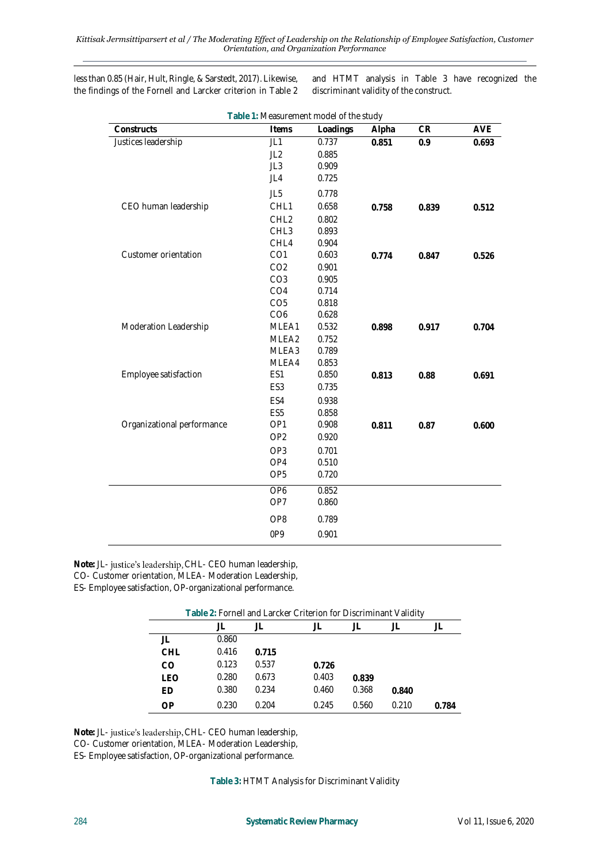less than 0.85 (Hair, Hult, Ringle, & Sarstedt, 2017). Likewise, the findings of the Fornell and Larcker criterion in Table 2

and HTMT analysis in Table 3 have recognized the discriminant validity of the construct.

| Table 1: Measurement model of the study |                  |          |       |       |       |
|-----------------------------------------|------------------|----------|-------|-------|-------|
| Constructs                              | Items            | Loadings | Alpha | CR    | AVE   |
| Justices leadership                     | JL1              | 0.737    | 0.851 | 0.9   | 0.693 |
|                                         | JL2              | 0.885    |       |       |       |
|                                         | JL3              | 0.909    |       |       |       |
|                                         | JL4              | 0.725    |       |       |       |
|                                         | JL5              | 0.778    |       |       |       |
| CEO human leadership                    | CHL1             | 0.658    | 0.758 | 0.839 | 0.512 |
|                                         | CHL <sub>2</sub> | 0.802    |       |       |       |
|                                         | CHL3             | 0.893    |       |       |       |
|                                         | CHL4             | 0.904    |       |       |       |
| Customer orientation                    | CO <sub>1</sub>  | 0.603    | 0.774 | 0.847 | 0.526 |
|                                         | CO <sub>2</sub>  | 0.901    |       |       |       |
|                                         | CO <sub>3</sub>  | 0.905    |       |       |       |
|                                         | CO <sub>4</sub>  | 0.714    |       |       |       |
|                                         | CO <sub>5</sub>  | 0.818    |       |       |       |
|                                         | CO <sub>6</sub>  | 0.628    |       |       |       |
| Moderation Leadership                   | MLEA1            | 0.532    | 0.898 | 0.917 | 0.704 |
|                                         | MLEA2            | 0.752    |       |       |       |
|                                         | MLEA3            | 0.789    |       |       |       |
|                                         | MLEA4            | 0.853    |       |       |       |
| Employee satisfaction                   | ES1              | 0.850    | 0.813 | 0.88  | 0.691 |
|                                         | ES <sub>3</sub>  | 0.735    |       |       |       |
|                                         | ES4              | 0.938    |       |       |       |
|                                         | ES <sub>5</sub>  | 0.858    |       |       |       |
| Organizational performance              | OP1              | 0.908    | 0.811 | 0.87  | 0.600 |
|                                         | OP <sub>2</sub>  | 0.920    |       |       |       |
|                                         | OP <sub>3</sub>  | 0.701    |       |       |       |
|                                         | OP4              | 0.510    |       |       |       |
|                                         | OP <sub>5</sub>  | 0.720    |       |       |       |
|                                         | OP <sub>6</sub>  | 0.852    |       |       |       |
|                                         | OP7              | 0.860    |       |       |       |
|                                         | OP8              | 0.789    |       |       |       |
|                                         | 0P9              | 0.901    |       |       |       |
|                                         |                  |          |       |       |       |

Note: JL- justice's leadership, CHL- CEO human leadership, CO- Customer orientation, MLEA- Moderation Leadership, ES- Employee satisfaction, OP-organizational performance.

| Table 2: Fornell and Larcker Criterion for Discriminant Validity |       |       |       |       |       |       |  |
|------------------------------------------------------------------|-------|-------|-------|-------|-------|-------|--|
|                                                                  | JL    | Ш     |       |       |       |       |  |
| JL                                                               | 0.860 |       |       |       |       |       |  |
| CHL                                                              | 0.416 | 0.715 |       |       |       |       |  |
| CO                                                               | 0.123 | 0.537 | 0.726 |       |       |       |  |
| LFO                                                              | 0.280 | 0.673 | 0.403 | 0.839 |       |       |  |
| FD                                                               | 0.380 | 0.234 | 0.460 | 0.368 | 0.840 |       |  |
| ΩP                                                               | 0.230 | 0.204 | 0.245 | 0.560 | 0.210 | 0.784 |  |

Note: JL- justice's leadership, CHL- CEO human leadership,

CO- Customer orientation, MLEA- Moderation Leadership,

ES- Employee satisfaction, OP-organizational performance.

**Table 3:** HTMT Analysis for Discriminant Validity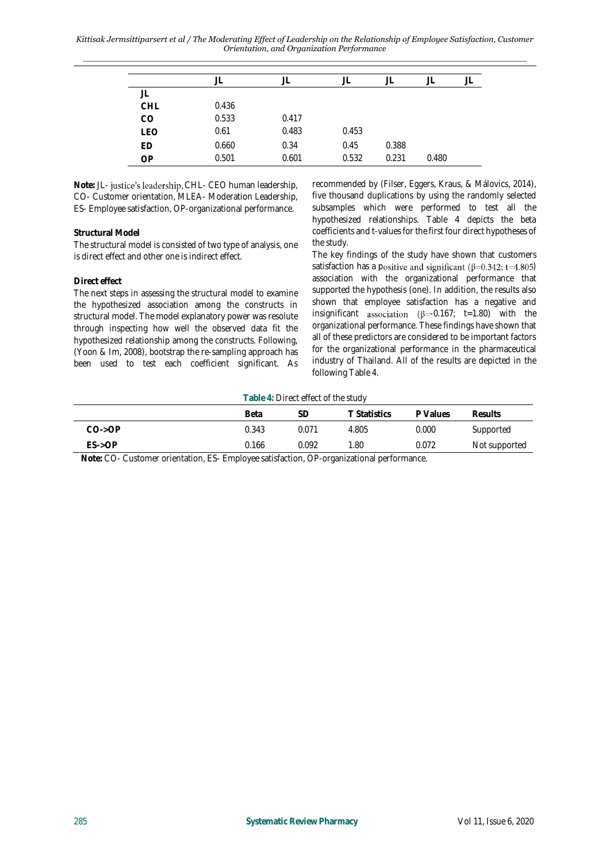*Kittisak Jermsittiparsert et al / The Moderating Effect of Leadership on the Relationship of Employee Satisfaction, Customer Orientation, and Organization Performance*

|            |       | JL    | JL    |       |       |  |
|------------|-------|-------|-------|-------|-------|--|
| JL         |       |       |       |       |       |  |
| <b>CHL</b> | 0.436 |       |       |       |       |  |
| CO         | 0.533 | 0.417 |       |       |       |  |
| <b>LEO</b> | 0.61  | 0.483 | 0.453 |       |       |  |
| ED         | 0.660 | 0.34  | 0.45  | 0.388 |       |  |
| OP         | 0.501 | 0.601 | 0.532 | 0.231 | 0.480 |  |

Note: JL- justice's leadership, CHL- CEO human leadership, CO- Customer orientation, MLEA- Moderation Leadership, ES- Employee satisfaction, OP-organizational performance.

## **Structural Model**

The structural model is consisted of two type of analysis, one is direct effect and other one is indirect effect.

## **Direct effect**

The next steps in assessing the structural model to examine the hypothesized association among the constructs in structural model. The model explanatory power was resolute through inspecting how well the observed data fit the hypothesized relationship among the constructs. Following, (Yoon & Im, 2008), bootstrap the re-sampling approach has been used to test each coefficient significant. As

recommended by (Filser, Eggers, Kraus, & Málovics, 2014), five thousand duplications by using the randomly selected subsamples which were performed to test all the hypothesized relationships. Table 4 depicts the beta coefficients and t-values for the first four direct hypotheses of the study.

The key findings of the study have shown that customers satisfaction has a positive and significant ( $\beta$ =0.342; t=4.805) association with the organizational performance that supported the hypothesis (one). In addition, the results also shown that employee satisfaction has a negative and insignificant association ( $\beta$ =-0.167; t=1.80) with the organizational performance. These findings have shown that all of these predictors are considered to be important factors for the organizational performance in the pharmaceutical industry of Thailand. All of the results are depicted in the following Table 4.

**Table 4:** Direct effect of the study

|          | Beta  | SЕ    | T Statistics | P Values | <b>Results</b> |
|----------|-------|-------|--------------|----------|----------------|
| $CO->OP$ | 0.343 | 0.071 | 4.805        | 0.000    | Supported      |
| $ES->OP$ | 0.166 | 0.092 | 1.80         | 0.072    | Not supported  |
|          |       | ____  |              |          |                |

**Note:** CO- Customer orientation, ES- Employee satisfaction, OP-organizational performance.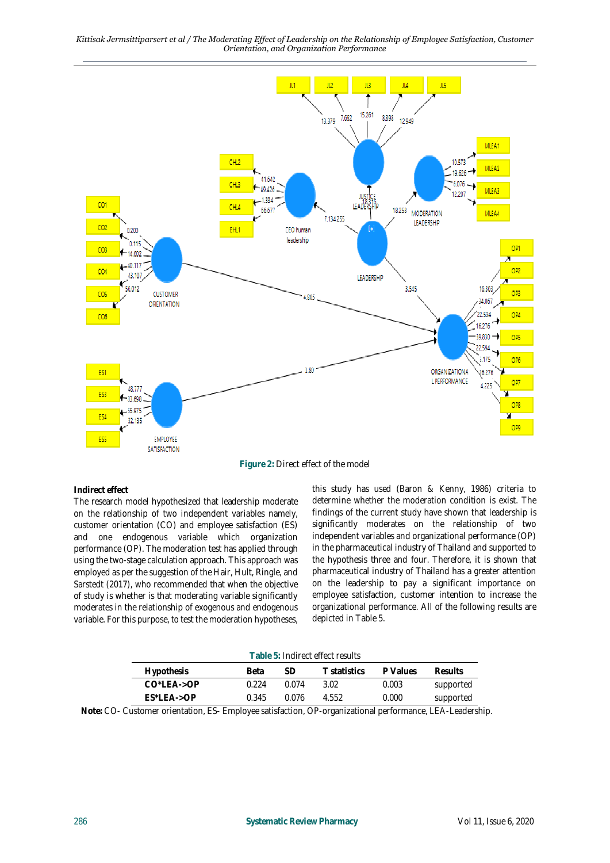*Kittisak Jermsittiparsert et al / The Moderating Effect of Leadership on the Relationship of Employee Satisfaction, Customer Orientation, and Organization Performance*



**Figure 2:** Direct effect of the model

**Indirect effect** 

The research model hypothesized that leadership moderate on the relationship of two independent variables namely, customer orientation (CO) and employee satisfaction (ES) and one endogenous variable which organization performance (OP). The moderation test has applied through using the two-stage calculation approach. This approach was employed as per the suggestion of the Hair, Hult, Ringle, and Sarstedt (2017), who recommended that when the objective of study is whether is that moderating variable significantly moderates in the relationship of exogenous and endogenous variable. For this purpose, to test the moderation hypotheses,

this study has used (Baron & Kenny, 1986) criteria to determine whether the moderation condition is exist. The findings of the current study have shown that leadership is significantly moderates on the relationship of two independent variables and organizational performance (OP) in the pharmaceutical industry of Thailand and supported to the hypothesis three and four. Therefore, it is shown that pharmaceutical industry of Thailand has a greater attention on the leadership to pay a significant importance on employee satisfaction, customer intention to increase the organizational performance. All of the following results are depicted in Table 5.

**Table 5:** Indirect effect results

| <b>Hypothesis</b>       | Beta  |       | E statistics. | P Values | Results   |
|-------------------------|-------|-------|---------------|----------|-----------|
| $CO^*LFA\rightarrow OP$ | በ 224 | በ በ74 | 3.02          | 0.003    | supported |
| $FS^*$ FA- $>OP$        | 0.345 | ባ 076 | 4.552         | 0.000    | supported |

**Note:** CO- Customer orientation, ES- Employee satisfaction, OP-organizational performance, LEA-Leadership.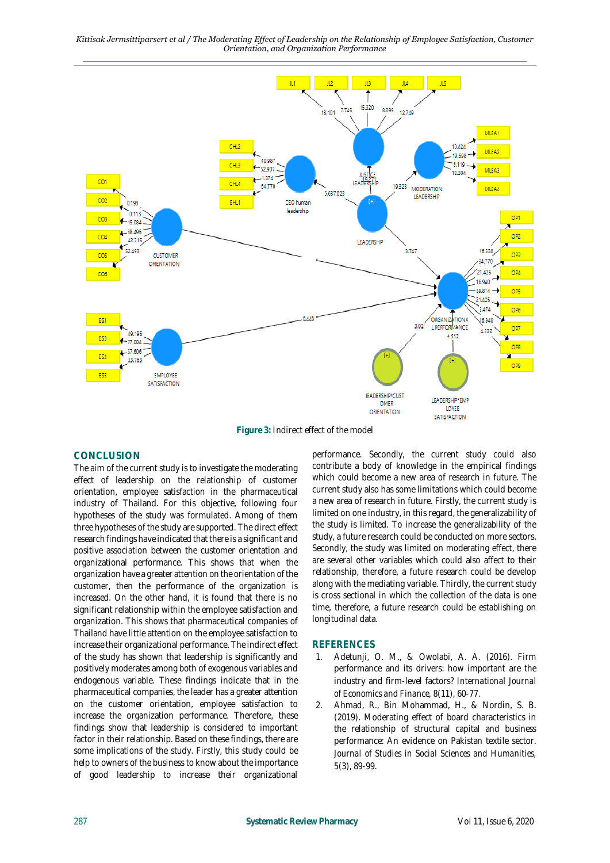*Kittisak Jermsittiparsert et al / The Moderating Effect of Leadership on the Relationship of Employee Satisfaction, Customer Orientation, and Organization Performance*



**Figure 3:** Indirect effect of the model

# **CONCLUSION**

The aim of the current study is to investigate the moderating effect of leadership on the relationship of customer orientation, employee satisfaction in the pharmaceutical industry of Thailand. For this objective, following four hypotheses of the study was formulated. Among of them three hypotheses of the study are supported. The direct effect research findings have indicated that there is a significant and positive association between the customer orientation and organizational performance. This shows that when the organization have a greater attention on the orientation of the customer, then the performance of the organization is increased. On the other hand, it is found that there is no significant relationship within the employee satisfaction and organization. This shows that pharmaceutical companies of Thailand have little attention on the employee satisfaction to increase their organizational performance. The indirect effect of the study has shown that leadership is significantly and positively moderates among both of exogenous variables and endogenous variable. These findings indicate that in the pharmaceutical companies, the leader has a greater attention on the customer orientation, employee satisfaction to increase the organization performance. Therefore, these findings show that leadership is considered to important factor in their relationship. Based on these findings, there are some implications of the study. Firstly, this study could be help to owners of the business to know about the importance of good leadership to increase their organizational

performance. Secondly, the current study could also contribute a body of knowledge in the empirical findings which could become a new area of research in future. The current study also has some limitations which could become a new area of research in future. Firstly, the current study is limited on one industry, in this regard, the generalizability of the study is limited. To increase the generalizability of the study, a future research could be conducted on more sectors. Secondly, the study was limited on moderating effect, there are several other variables which could also affect to their relationship, therefore, a future research could be develop along with the mediating variable. Thirdly, the current study is cross sectional in which the collection of the data is one time, therefore, a future research could be establishing on longitudinal data.

# **REFERENCES**

- 1. Adetunji, O. M., & Owolabi, A. A. (2016). Firm performance and its drivers: how important are the industry and firm-level factors? *International Journal of Economics and Finance, 8*(11), 60-77.
- 2. Ahmad, R., Bin Mohammad, H., & Nordin, S. B. (2019). Moderating effect of board characteristics in the relationship of structural capital and business performance: An evidence on Pakistan textile sector. *Journal of Studies in Social Sciences and Humanities, 5*(3), 89-99.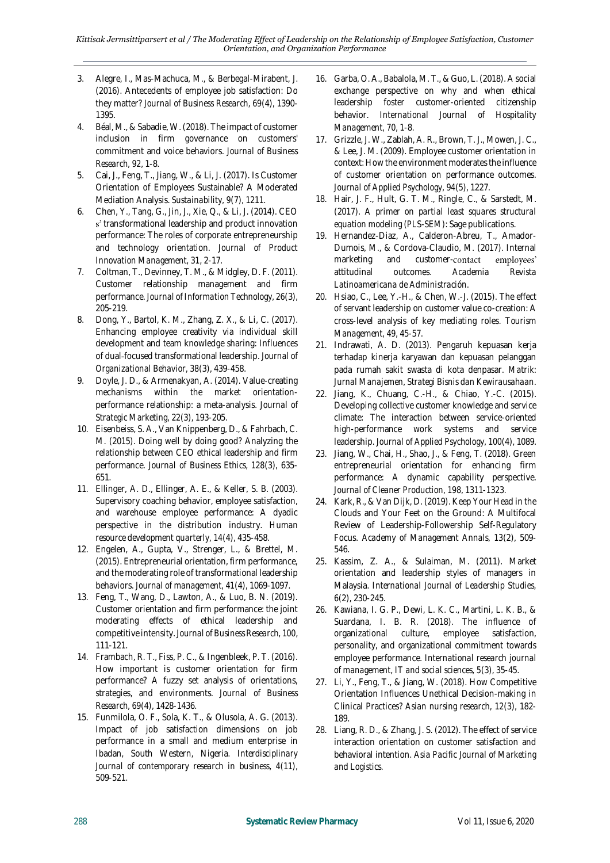- 3. Alegre, I., Mas-Machuca, M., & Berbegal-Mirabent, J. (2016). Antecedents of employee job satisfaction: Do they matter? *Journal of Business Research, 69*(4), 1390- 1395.
- 4. Béal, M., & Sabadie, W. (2018). The impact of customer inclusion in firm governance on customers' commitment and voice behaviors. *Journal of Business Research, 92*, 1-8.
- 5. Cai, J., Feng, T., Jiang, W., & Li, J. (2017). Is Customer Orientation of Employees Sustainable? A Moderated Mediation Analysis. *Sustainability, 9*(7), 1211.
- 6. Chen, Y., Tang, G., Jin, J., Xie, Q., & Li, J. (2014). CEO s' transformational leadership and product innovation performance: The roles of corporate entrepreneurship and technology orientation. *Journal of Product Innovation Management, 31*, 2-17.
- 7. Coltman, T., Devinney, T. M., & Midgley, D. F. (2011). Customer relationship management and firm performance. *Journal of Information Technology, 26*(3), 205-219.
- 8. Dong, Y., Bartol, K. M., Zhang, Z. X., & Li, C. (2017). Enhancing employee creativity via individual skill development and team knowledge sharing: Influences of dual‐focused transformational leadership. *Journal of Organizational Behavior, 38*(3), 439-458.
- 9. Doyle, J. D., & Armenakyan, A. (2014). Value-creating mechanisms within the market orientationperformance relationship: a meta-analysis. *Journal of Strategic Marketing, 22*(3), 193-205.
- 10. Eisenbeiss, S. A., Van Knippenberg, D., & Fahrbach, C. M. (2015). Doing well by doing good? Analyzing the relationship between CEO ethical leadership and firm performance. *Journal of Business Ethics, 128*(3), 635- 651.
- 11. Ellinger, A. D., Ellinger, A. E., & Keller, S. B. (2003). Supervisory coaching behavior, employee satisfaction, and warehouse employee performance: A dyadic perspective in the distribution industry. *Human resource development quarterly, 14*(4), 435-458.
- 12. Engelen, A., Gupta, V., Strenger, L., & Brettel, M. (2015). Entrepreneurial orientation, firm performance, and the moderating role of transformational leadership behaviors. *Journal of management, 41*(4), 1069-1097.
- 13. Feng, T., Wang, D., Lawton, A., & Luo, B. N. (2019). Customer orientation and firm performance: the joint moderating effects of ethical leadership and competitive intensity. *Journal of Business Research, 100*, 111-121.
- 14. Frambach, R. T., Fiss, P. C., & Ingenbleek, P. T. (2016). How important is customer orientation for firm performance? A fuzzy set analysis of orientations, strategies, and environments. *Journal of Business Research, 69*(4), 1428-1436.
- 15. Funmilola, O. F., Sola, K. T., & Olusola, A. G. (2013). Impact of job satisfaction dimensions on job performance in a small and medium enterprise in Ibadan, South Western, Nigeria. *Interdisciplinary Journal of contemporary research in business, 4*(11), 509-521.
- 16. Garba, O. A., Babalola, M. T., & Guo, L. (2018). A social exchange perspective on why and when ethical leadership foster customer-oriented citizenship behavior. *International Journal of Hospitality Management, 70*, 1-8.
- 17. Grizzle, J. W., Zablah, A. R., Brown, T. J., Mowen, J. C., & Lee, J. M. (2009). Employee customer orientation in context: How the environment moderates the influence of customer orientation on performance outcomes. *Journal of Applied Psychology, 94*(5), 1227.
- 18. Hair, J. F., Hult, G. T. M., Ringle, C., & Sarstedt, M. (2017). *A primer on partial least squares structural equation modeling (PLS-SEM)*: Sage publications.
- 19. Hernandez-Diaz, A., Calderon-Abreu, T., Amador-Dumois, M., & Cordova-Claudio, M. (2017). Internal marketing and customeremployees' attitudinal outcomes. *Academia Revista Latinoamericana de Administración*.
- 20. Hsiao, C., Lee, Y.-H., & Chen, W.-J. (2015). The effect of servant leadership on customer value co-creation: A cross-level analysis of key mediating roles. *Tourism Management, 49*, 45-57.
- 21. Indrawati, A. D. (2013). Pengaruh kepuasan kerja terhadap kinerja karyawan dan kepuasan pelanggan pada rumah sakit swasta di kota denpasar. *Matrik: Jurnal Manajemen, Strategi Bisnis dan Kewirausahaan*.
- 22. Jiang, K., Chuang, C.-H., & Chiao, Y.-C. (2015). Developing collective customer knowledge and service climate: The interaction between service-oriented high-performance work systems and service leadership. *Journal of Applied Psychology, 100*(4), 1089.
- 23. Jiang, W., Chai, H., Shao, J., & Feng, T. (2018). Green entrepreneurial orientation for enhancing firm performance: A dynamic capability perspective. *Journal of Cleaner Production, 198*, 1311-1323.
- 24. Kark, R., & Van Dijk, D. (2019). Keep Your Head in the Clouds and Your Feet on the Ground: A Multifocal Review of Leadership-Followership Self-Regulatory Focus. *Academy of Management Annals, 13*(2), 509- 546.
- 25. Kassim, Z. A., & Sulaiman, M. (2011). Market orientation and leadership styles of managers in Malaysia. *International Journal of Leadership Studies, 6*(2), 230-245.
- 26. Kawiana, I. G. P., Dewi, L. K. C., Martini, L. K. B., & Suardana, I. B. R. (2018). The influence of organizational culture, employee satisfaction, personality, and organizational commitment towards employee performance. *International research journal of management, IT and social sciences, 5*(3), 35-45.
- 27. Li, Y., Feng, T., & Jiang, W. (2018). How Competitive Orientation Influences Unethical Decision-making in Clinical Practices? *Asian nursing research, 12*(3), 182- 189.
- 28. Liang, R. D., & Zhang, J. S. (2012). The effect of service interaction orientation on customer satisfaction and behavioral intention. *Asia Pacific Journal of Marketing and Logistics*.